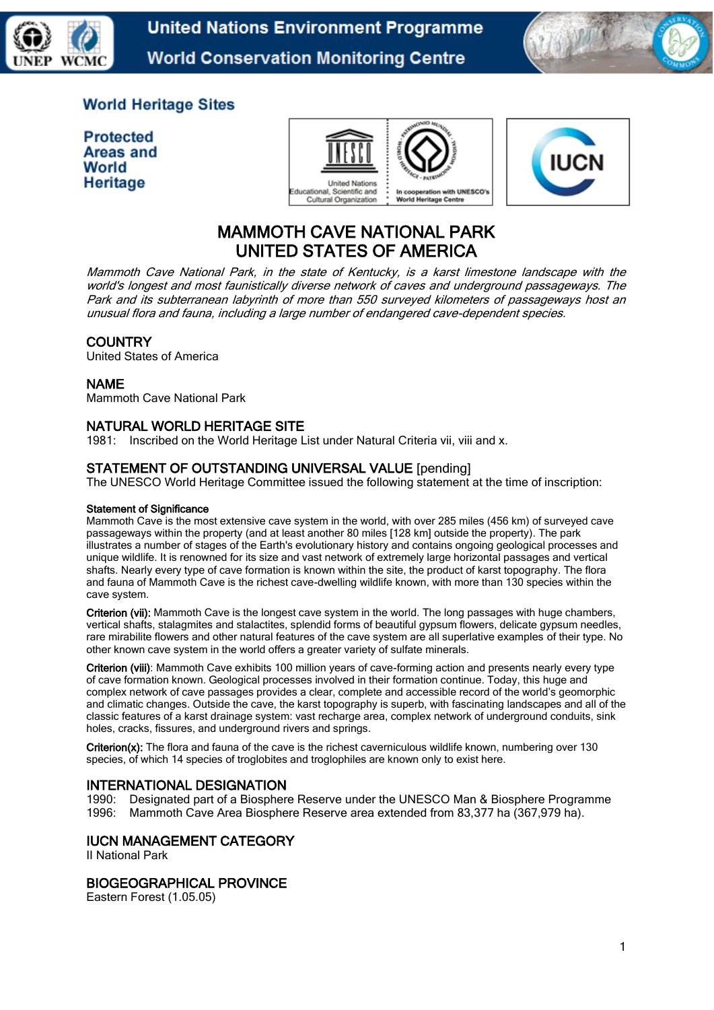



# **World Heritage Sites**

**Protected Areas and** World Heritage





# MAMMOTH CAVE NATIONAL PARK UNITED STATES OF AMERICA

Mammoth Cave National Park, in the state of Kentucky, is a karst limestone landscape with the world's longest and most faunistically diverse network of caves and underground passageways. The Park and its subterranean labyrinth of more than 550 surveyed kilometers of passageways host an unusual flora and fauna, including a large number of endangered cave-dependent species.

# **COUNTRY**

United States of America

## NAME

Mammoth Cave National Park

# NATURAL WORLD HERITAGE SITE

1981: Inscribed on the World Heritage List under Natural Criteria vii, viii and x.

# STATEMENT OF OUTSTANDING UNIVERSAL VALUE [pending]

The UNESCO World Heritage Committee issued the following statement at the time of inscription:

#### Statement of Significance

Mammoth Cave is the most extensive cave system in the world, with over 285 miles (456 km) of surveyed cave passageways within the property (and at least another 80 miles [128 km] outside the property). The park illustrates a number of stages of the Earth's evolutionary history and contains ongoing geological processes and unique wildlife. It is renowned for its size and vast network of extremely large horizontal passages and vertical shafts. Nearly every type of cave formation is known within the site, the product of karst topography. The flora and fauna of Mammoth Cave is the richest cave-dwelling wildlife known, with more than 130 species within the cave system.

Criterion (vii): Mammoth Cave is the longest cave system in the world. The long passages with huge chambers, vertical shafts, stalagmites and stalactites, splendid forms of beautiful gypsum flowers, delicate gypsum needles, rare mirabilite flowers and other natural features of the cave system are all superlative examples of their type. No other known cave system in the world offers a greater variety of sulfate minerals.

Criterion (viii): Mammoth Cave exhibits 100 million years of cave-forming action and presents nearly every type of cave formation known. Geological processes involved in their formation continue. Today, this huge and complex network of cave passages provides a clear, complete and accessible record of the world's geomorphic and climatic changes. Outside the cave, the karst topography is superb, with fascinating landscapes and all of the classic features of a karst drainage system: vast recharge area, complex network of underground conduits, sink holes, cracks, fissures, and underground rivers and springs.

Criterion(x): The flora and fauna of the cave is the richest caverniculous wildlife known, numbering over 130 species, of which 14 species of troglobites and troglophiles are known only to exist here.

# INTERNATIONAL DESIGNATION

1990: Designated part of a Biosphere Reserve under the UNESCO Man & Biosphere Programme 1996: Mammoth Cave Area Biosphere Reserve area extended from 83,377 ha (367,979 ha).

# IUCN MANAGEMENT CATEGORY

II National Park

# BIOGEOGRAPHICAL PROVINCE

Eastern Forest (1.05.05)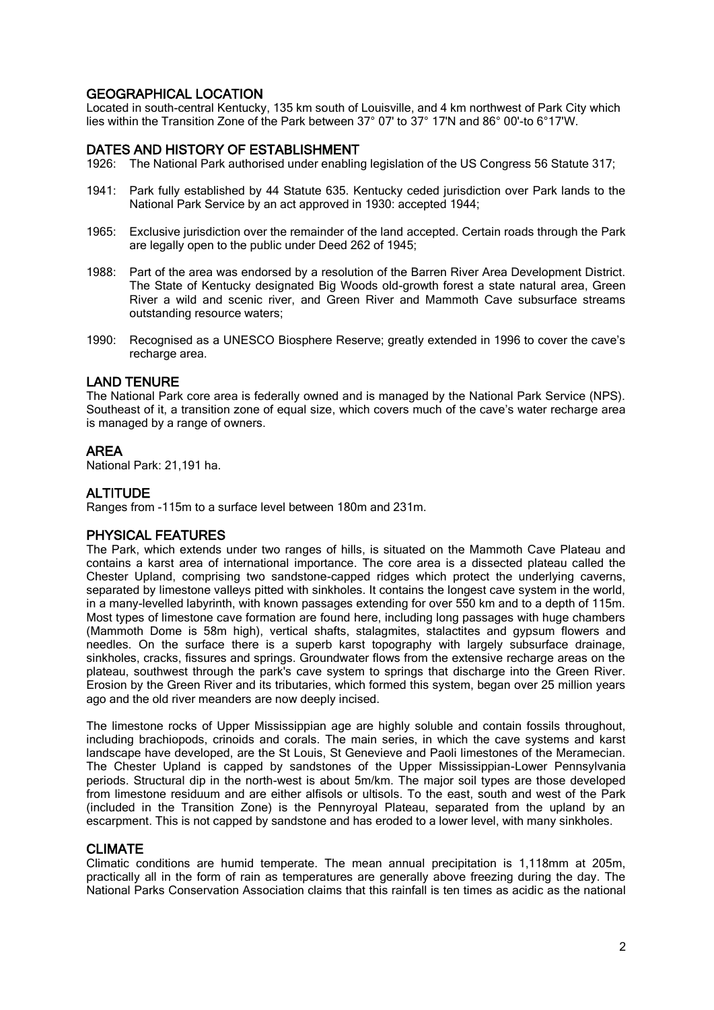# GEOGRAPHICAL LOCATION

Located in south-central Kentucky, 135 km south of Louisville, and 4 km northwest of Park City which lies within the Transition Zone of the Park between 37° 07' to 37° 17'N and 86° 00'-to 6°17'W.

## DATES AND HISTORY OF ESTABLISHMENT

- 1926: The National Park authorised under enabling legislation of the US Congress 56 Statute 317;
- 1941: Park fully established by 44 Statute 635. Kentucky ceded jurisdiction over Park lands to the National Park Service by an act approved in 1930: accepted 1944;
- 1965: Exclusive jurisdiction over the remainder of the land accepted. Certain roads through the Park are legally open to the public under Deed 262 of 1945;
- 1988: Part of the area was endorsed by a resolution of the Barren River Area Development District. The State of Kentucky designated Big Woods old-growth forest a state natural area, Green River a wild and scenic river, and Green River and Mammoth Cave subsurface streams outstanding resource waters;
- 1990: Recognised as a UNESCO Biosphere Reserve; greatly extended in 1996 to cover the cave's recharge area.

### LAND TENURE

The National Park core area is federally owned and is managed by the National Park Service (NPS). Southeast of it, a transition zone of equal size, which covers much of the cave's water recharge area is managed by a range of owners.

## AREA

National Park: 21,191 ha.

# ALTITUDE

Ranges from -115m to a surface level between 180m and 231m.

# PHYSICAL FEATURES

The Park, which extends under two ranges of hills, is situated on the Mammoth Cave Plateau and contains a karst area of international importance. The core area is a dissected plateau called the Chester Upland, comprising two sandstone-capped ridges which protect the underlying caverns, separated by limestone valleys pitted with sinkholes. It contains the longest cave system in the world, in a many-levelled labyrinth, with known passages extending for over 550 km and to a depth of 115m. Most types of limestone cave formation are found here, including long passages with huge chambers (Mammoth Dome is 58m high), vertical shafts, stalagmites, stalactites and gypsum flowers and needles. On the surface there is a superb karst topography with largely subsurface drainage, sinkholes, cracks, fissures and springs. Groundwater flows from the extensive recharge areas on the plateau, southwest through the park's cave system to springs that discharge into the Green River. Erosion by the Green River and its tributaries, which formed this system, began over 25 million years ago and the old river meanders are now deeply incised.

The limestone rocks of Upper Mississippian age are highly soluble and contain fossils throughout, including brachiopods, crinoids and corals. The main series, in which the cave systems and karst landscape have developed, are the St Louis, St Genevieve and Paoli limestones of the Meramecian. The Chester Upland is capped by sandstones of the Upper Mississippian-Lower Pennsylvania periods. Structural dip in the north-west is about 5m/km. The major soil types are those developed from limestone residuum and are either alfisols or ultisols. To the east, south and west of the Park (included in the Transition Zone) is the Pennyroyal Plateau, separated from the upland by an escarpment. This is not capped by sandstone and has eroded to a lower level, with many sinkholes.

### CLIMATE

Climatic conditions are humid temperate. The mean annual precipitation is 1,118mm at 205m, practically all in the form of rain as temperatures are generally above freezing during the day. The National Parks Conservation Association claims that this rainfall is ten times as acidic as the national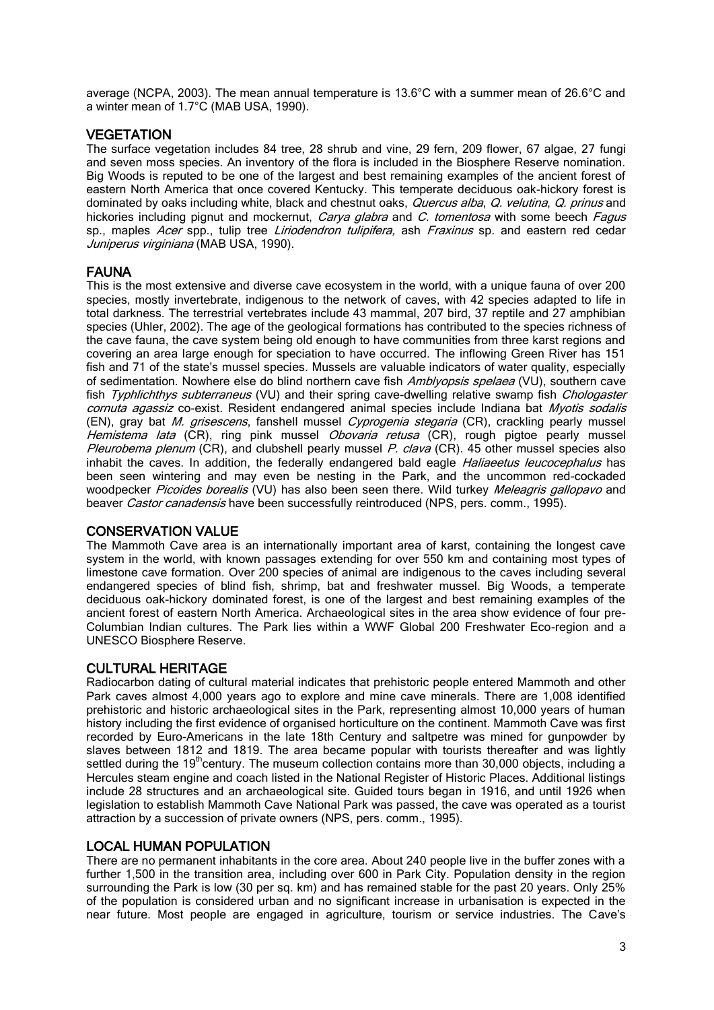average (NCPA, 2003). The mean annual temperature is 13.6°C with a summer mean of 26.6°C and a winter mean of 1.7°C (MAB USA, 1990).

## **VEGETATION**

The surface vegetation includes 84 tree, 28 shrub and vine, 29 fern, 209 flower, 67 algae, 27 fungi and seven moss species. An inventory of the flora is included in the Biosphere Reserve nomination. Big Woods is reputed to be one of the largest and best remaining examples of the ancient forest of eastern North America that once covered Kentucky. This temperate deciduous oak-hickory forest is dominated by oaks including white, black and chestnut oaks, Quercus alba, Q. velutina, Q. prinus and hickories including pignut and mockernut, *Carya glabra* and *C. tomentosa* with some beech *Fagus* sp., maples Acer spp., tulip tree Liriodendron tulipifera, ash Fraxinus sp. and eastern red cedar Juniperus virginiana (MAB USA, 1990).

## FAUNA

This is the most extensive and diverse cave ecosystem in the world, with a unique fauna of over 200 species, mostly invertebrate, indigenous to the network of caves, with 42 species adapted to life in total darkness. The terrestrial vertebrates include 43 mammal, 207 bird, 37 reptile and 27 amphibian species (Uhler, 2002). The age of the geological formations has contributed to the species richness of the cave fauna, the cave system being old enough to have communities from three karst regions and covering an area large enough for speciation to have occurred. The inflowing Green River has 151 fish and 71 of the state's mussel species. Mussels are valuable indicators of water quality, especially of sedimentation. Nowhere else do blind northern cave fish Amblyopsis spelaea (VU), southern cave fish Typhlichthys subterraneus (VU) and their spring cave-dwelling relative swamp fish Chologaster cornuta agassiz co-exist. Resident endangered animal species include Indiana bat Myotis sodalis (EN), gray bat M. grisescens, fanshell mussel Cyprogenia stegaria (CR), crackling pearly mussel Hemistema lata (CR), ring pink mussel Obovaria retusa (CR), rough pigtoe pearly mussel Pleurobema plenum (CR), and clubshell pearly mussel P. clava (CR). 45 other mussel species also inhabit the caves. In addition, the federally endangered bald eagle *Haliaeetus leucocephalus* has been seen wintering and may even be nesting in the Park, and the uncommon red-cockaded woodpecker Picoides borealis (VU) has also been seen there. Wild turkey Meleagris gallopavo and beaver Castor canadensis have been successfully reintroduced (NPS, pers. comm., 1995).

### CONSERVATION VALUE

The Mammoth Cave area is an internationally important area of karst, containing the longest cave system in the world, with known passages extending for over 550 km and containing most types of limestone cave formation. Over 200 species of animal are indigenous to the caves including several endangered species of blind fish, shrimp, bat and freshwater mussel. Big Woods, a temperate deciduous oak-hickory dominated forest, is one of the largest and best remaining examples of the ancient forest of eastern North America. Archaeological sites in the area show evidence of four pre-Columbian Indian cultures. The Park lies within a WWF Global 200 Freshwater Eco-region and a UNESCO Biosphere Reserve.

# CULTURAL HERITAGE

Radiocarbon dating of cultural material indicates that prehistoric people entered Mammoth and other Park caves almost 4,000 years ago to explore and mine cave minerals. There are 1,008 identified prehistoric and historic archaeological sites in the Park, representing almost 10,000 years of human history including the first evidence of organised horticulture on the continent. Mammoth Cave was first recorded by Euro-Americans in the late 18th Century and saltpetre was mined for gunpowder by slaves between 1812 and 1819. The area became popular with tourists thereafter and was lightly settled during the 19<sup>th</sup>century. The museum collection contains more than 30,000 objects, including a Hercules steam engine and coach listed in the National Register of Historic Places. Additional listings include 28 structures and an archaeological site. Guided tours began in 1916, and until 1926 when legislation to establish Mammoth Cave National Park was passed, the cave was operated as a tourist attraction by a succession of private owners (NPS, pers. comm., 1995).

## LOCAL HUMAN POPULATION

There are no permanent inhabitants in the core area. About 240 people live in the buffer zones with a further 1,500 in the transition area, including over 600 in Park City. Population density in the region surrounding the Park is low (30 per sq. km) and has remained stable for the past 20 years. Only 25% of the population is considered urban and no significant increase in urbanisation is expected in the near future. Most people are engaged in agriculture, tourism or service industries. The Cave's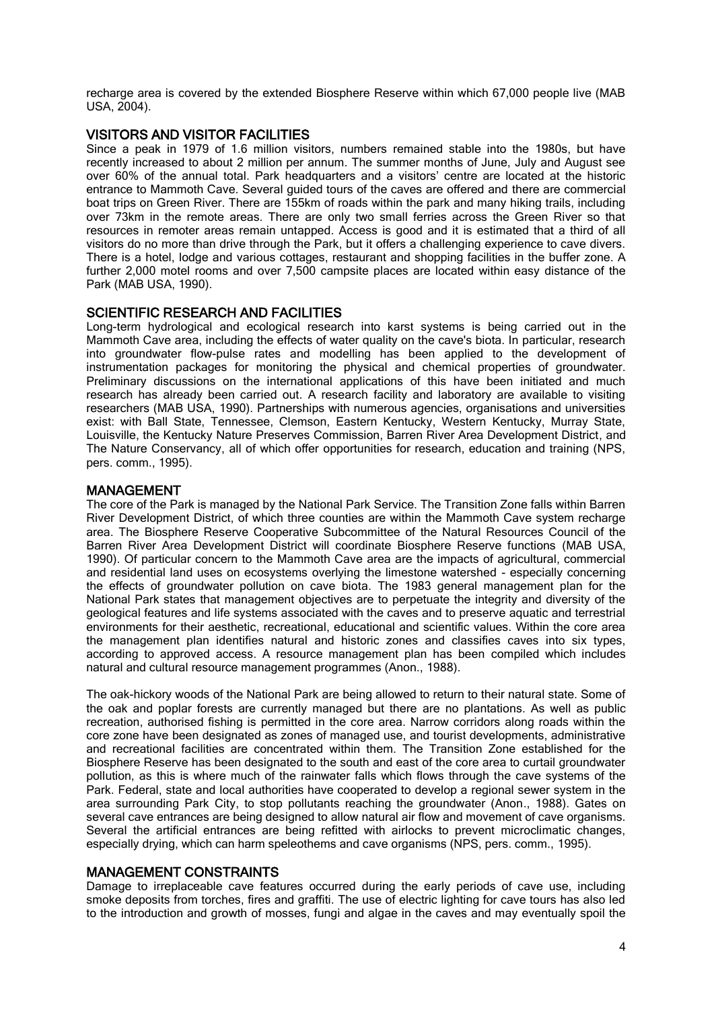recharge area is covered by the extended Biosphere Reserve within which 67,000 people live (MAB USA, 2004).

### VISITORS AND VISITOR FACILITIES

Since a peak in 1979 of 1.6 million visitors, numbers remained stable into the 1980s, but have recently increased to about 2 million per annum. The summer months of June, July and August see over 60% of the annual total. Park headquarters and a visitors' centre are located at the historic entrance to Mammoth Cave. Several guided tours of the caves are offered and there are commercial boat trips on Green River. There are 155km of roads within the park and many hiking trails, including over 73km in the remote areas. There are only two small ferries across the Green River so that resources in remoter areas remain untapped. Access is good and it is estimated that a third of all visitors do no more than drive through the Park, but it offers a challenging experience to cave divers. There is a hotel, lodge and various cottages, restaurant and shopping facilities in the buffer zone. A further 2,000 motel rooms and over 7,500 campsite places are located within easy distance of the Park (MAB USA, 1990).

#### SCIENTIFIC RESEARCH AND FACILITIES

Long-term hydrological and ecological research into karst systems is being carried out in the Mammoth Cave area, including the effects of water quality on the cave's biota. In particular, research into groundwater flow-pulse rates and modelling has been applied to the development of instrumentation packages for monitoring the physical and chemical properties of groundwater. Preliminary discussions on the international applications of this have been initiated and much research has already been carried out. A research facility and laboratory are available to visiting researchers (MAB USA, 1990). Partnerships with numerous agencies, organisations and universities exist: with Ball State, Tennessee, Clemson, Eastern Kentucky, Western Kentucky, Murray State, Louisville, the Kentucky Nature Preserves Commission, Barren River Area Development District, and The Nature Conservancy, all of which offer opportunities for research, education and training (NPS, pers. comm., 1995).

#### MANAGEMENT

The core of the Park is managed by the National Park Service. The Transition Zone falls within Barren River Development District, of which three counties are within the Mammoth Cave system recharge area. The Biosphere Reserve Cooperative Subcommittee of the Natural Resources Council of the Barren River Area Development District will coordinate Biosphere Reserve functions (MAB USA, 1990). Of particular concern to the Mammoth Cave area are the impacts of agricultural, commercial and residential land uses on ecosystems overlying the limestone watershed - especially concerning the effects of groundwater pollution on cave biota. The 1983 general management plan for the National Park states that management objectives are to perpetuate the integrity and diversity of the geological features and life systems associated with the caves and to preserve aquatic and terrestrial environments for their aesthetic, recreational, educational and scientific values. Within the core area the management plan identifies natural and historic zones and classifies caves into six types, according to approved access. A resource management plan has been compiled which includes natural and cultural resource management programmes (Anon., 1988).

The oak-hickory woods of the National Park are being allowed to return to their natural state. Some of the oak and poplar forests are currently managed but there are no plantations. As well as public recreation, authorised fishing is permitted in the core area. Narrow corridors along roads within the core zone have been designated as zones of managed use, and tourist developments, administrative and recreational facilities are concentrated within them. The Transition Zone established for the Biosphere Reserve has been designated to the south and east of the core area to curtail groundwater pollution, as this is where much of the rainwater falls which flows through the cave systems of the Park. Federal, state and local authorities have cooperated to develop a regional sewer system in the area surrounding Park City, to stop pollutants reaching the groundwater (Anon., 1988). Gates on several cave entrances are being designed to allow natural air flow and movement of cave organisms. Several the artificial entrances are being refitted with airlocks to prevent microclimatic changes, especially drying, which can harm speleothems and cave organisms (NPS, pers. comm., 1995).

#### MANAGEMENT CONSTRAINTS

Damage to irreplaceable cave features occurred during the early periods of cave use, including smoke deposits from torches, fires and graffiti. The use of electric lighting for cave tours has also led to the introduction and growth of mosses, fungi and algae in the caves and may eventually spoil the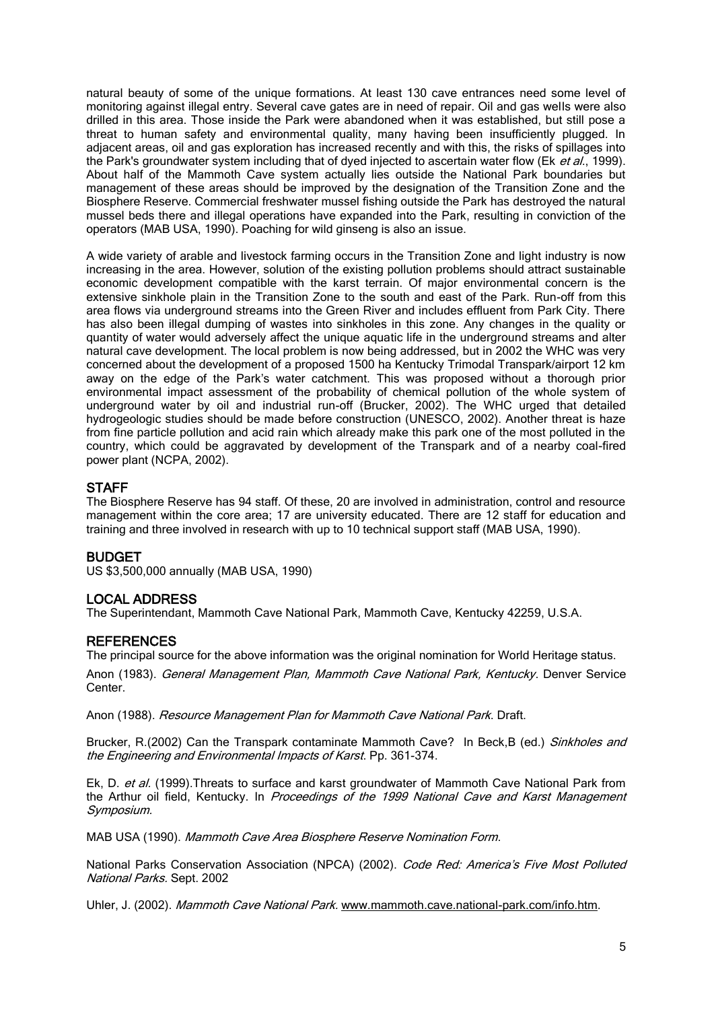natural beauty of some of the unique formations. At least 130 cave entrances need some level of monitoring against illegal entry. Several cave gates are in need of repair. Oil and gas wells were also drilled in this area. Those inside the Park were abandoned when it was established, but still pose a threat to human safety and environmental quality, many having been insufficiently plugged. In adjacent areas, oil and gas exploration has increased recently and with this, the risks of spillages into the Park's groundwater system including that of dyed injected to ascertain water flow (Ek et al., 1999). About half of the Mammoth Cave system actually lies outside the National Park boundaries but management of these areas should be improved by the designation of the Transition Zone and the Biosphere Reserve. Commercial freshwater mussel fishing outside the Park has destroyed the natural mussel beds there and illegal operations have expanded into the Park, resulting in conviction of the operators (MAB USA, 1990). Poaching for wild ginseng is also an issue.

A wide variety of arable and livestock farming occurs in the Transition Zone and light industry is now increasing in the area. However, solution of the existing pollution problems should attract sustainable economic development compatible with the karst terrain. Of major environmental concern is the extensive sinkhole plain in the Transition Zone to the south and east of the Park. Run-off from this area flows via underground streams into the Green River and includes effluent from Park City. There has also been illegal dumping of wastes into sinkholes in this zone. Any changes in the quality or quantity of water would adversely affect the unique aquatic life in the underground streams and alter natural cave development. The local problem is now being addressed, but in 2002 the WHC was very concerned about the development of a proposed 1500 ha Kentucky Trimodal Transpark/airport 12 km away on the edge of the Park's water catchment. This was proposed without a thorough prior environmental impact assessment of the probability of chemical pollution of the whole system of underground water by oil and industrial run-off (Brucker, 2002). The WHC urged that detailed hydrogeologic studies should be made before construction (UNESCO, 2002). Another threat is haze from fine particle pollution and acid rain which already make this park one of the most polluted in the country, which could be aggravated by development of the Transpark and of a nearby coal-fired power plant (NCPA, 2002).

## **STAFF**

The Biosphere Reserve has 94 staff. Of these, 20 are involved in administration, control and resource management within the core area; 17 are university educated. There are 12 staff for education and training and three involved in research with up to 10 technical support staff (MAB USA, 1990).

### BUDGET

US \$3,500,000 annually (MAB USA, 1990)

# LOCAL ADDRESS

The Superintendant, Mammoth Cave National Park, Mammoth Cave, Kentucky 42259, U.S.A.

### **REFERENCES**

The principal source for the above information was the original nomination for World Heritage status.

Anon (1983). General Management Plan, Mammoth Cave National Park, Kentucky. Denver Service Center.

Anon (1988). Resource Management Plan for Mammoth Cave National Park. Draft.

Brucker, R.(2002) Can the Transpark contaminate Mammoth Cave? In Beck,B (ed.) Sinkholes and the Engineering and Environmental Impacts of Karst. Pp. 361-374.

Ek, D. et al. (1999).Threats to surface and karst groundwater of Mammoth Cave National Park from the Arthur oil field. Kentucky. In Proceedings of the 1999 National Cave and Karst Management Symposium.

MAB USA (1990). Mammoth Cave Area Biosphere Reserve Nomination Form.

National Parks Conservation Association (NPCA) (2002). Code Red: America's Five Most Polluted National Parks. Sept. 2002

Uhler, J. (2002). Mammoth Cave National Park. [www.mammoth.cave.national-park.com/info.htm.](http://www.mammoth.cave.national-park.com/info.htm)